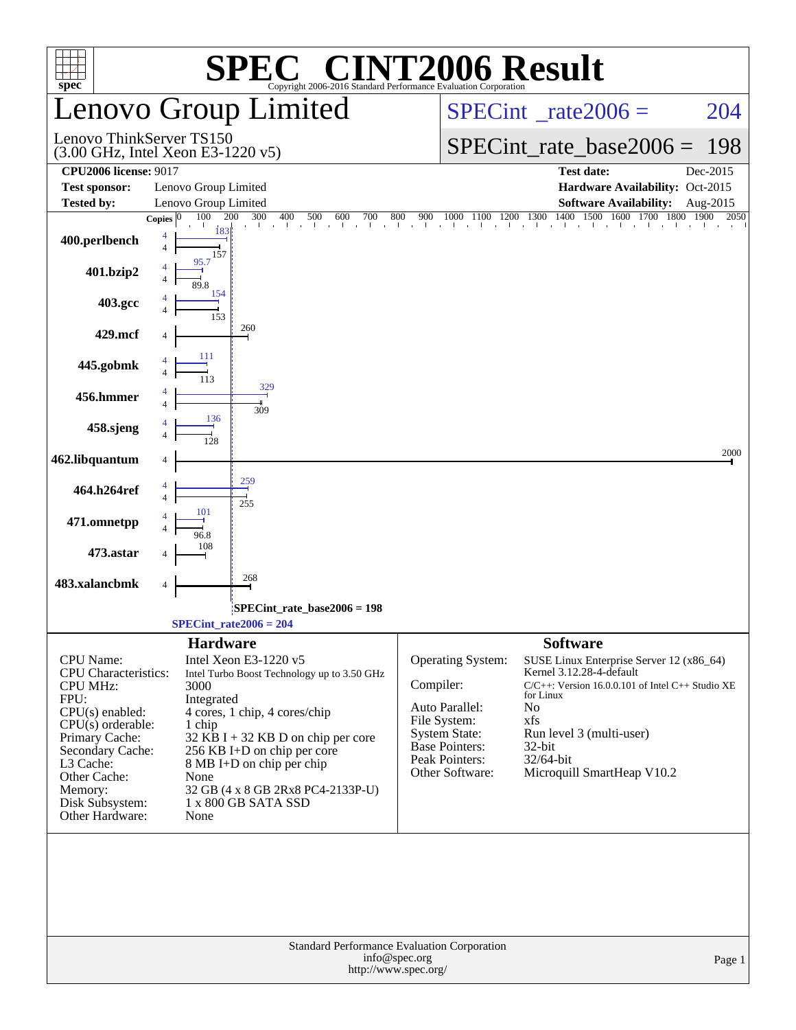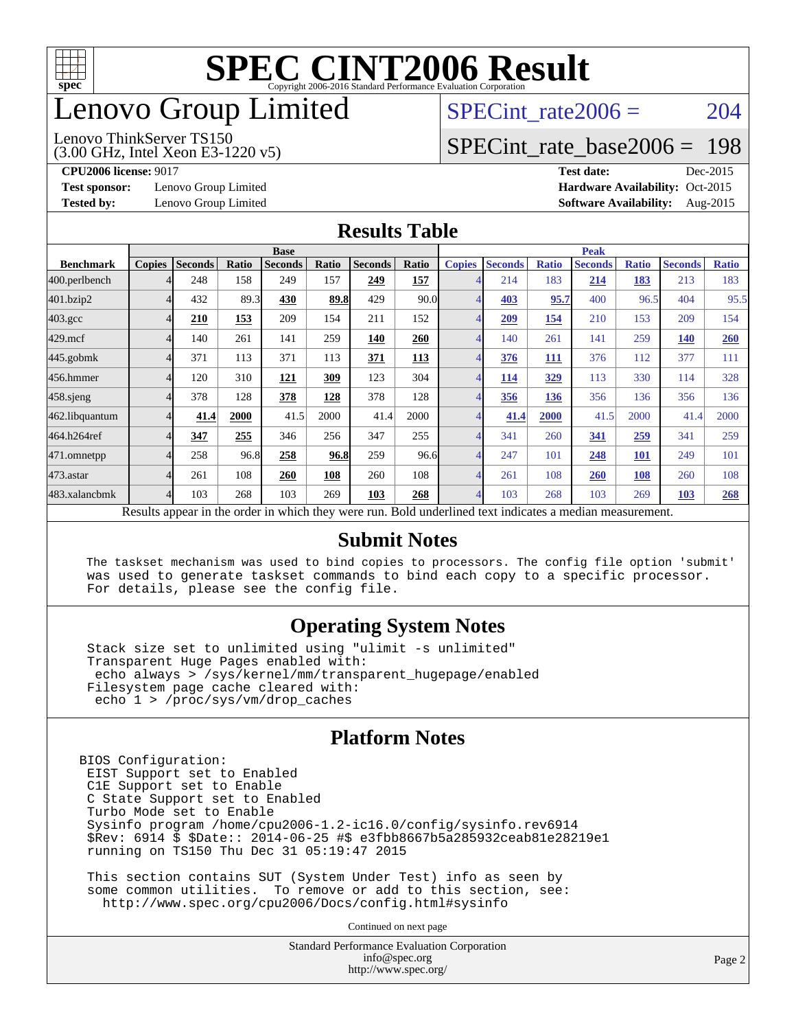

## enovo Group Limited

#### Lenovo ThinkServer TS150

SPECint rate $2006 = 204$ 

## [SPECint\\_rate\\_base2006 =](http://www.spec.org/auto/cpu2006/Docs/result-fields.html#SPECintratebase2006) 198

**[Test sponsor:](http://www.spec.org/auto/cpu2006/Docs/result-fields.html#Testsponsor)** Lenovo Group Limited **[Hardware Availability:](http://www.spec.org/auto/cpu2006/Docs/result-fields.html#HardwareAvailability)** Oct-2015

(3.00 GHz, Intel Xeon E3-1220 v5)

**[CPU2006 license:](http://www.spec.org/auto/cpu2006/Docs/result-fields.html#CPU2006license)** 9017 **[Test date:](http://www.spec.org/auto/cpu2006/Docs/result-fields.html#Testdate)** Dec-2015 **[Tested by:](http://www.spec.org/auto/cpu2006/Docs/result-fields.html#Testedby)** Lenovo Group Limited **[Software Availability:](http://www.spec.org/auto/cpu2006/Docs/result-fields.html#SoftwareAvailability)** Aug-2015

#### **[Results Table](http://www.spec.org/auto/cpu2006/Docs/result-fields.html#ResultsTable)**

|                    | <b>Base</b>   |                |       |                                                   |       |                | <b>Peak</b> |                |                |              |                                                     |              |                |              |
|--------------------|---------------|----------------|-------|---------------------------------------------------|-------|----------------|-------------|----------------|----------------|--------------|-----------------------------------------------------|--------------|----------------|--------------|
| <b>Benchmark</b>   | <b>Copies</b> | <b>Seconds</b> | Ratio | <b>Seconds</b>                                    | Ratio | <b>Seconds</b> | Ratio       | <b>Copies</b>  | <b>Seconds</b> | <b>Ratio</b> | <b>Seconds</b>                                      | <b>Ratio</b> | <b>Seconds</b> | <b>Ratio</b> |
| 400.perlbench      |               | 248            | 158   | 249                                               | 157   | 249            | 157         |                | 214            | 183          | 214                                                 | <u>183</u>   | 213            | 183          |
| 401.bzip2          | 4             | 432            | 89.3  | 430                                               | 89.8  | 429            | 90.0        | 4              | 403            | 95.7         | 400                                                 | 96.5         | 404            | 95.5         |
| $403.\mathrm{gcc}$ | 4             | 210            | 153   | 209                                               | 154   | 211            | 152         |                | 209            | 154          | 210                                                 | 153          | 209            | 154          |
| $429$ .mcf         | 4             | 140            | 261   | 141                                               | 259   | 140            | 260         | 4              | 140            | 261          | 141                                                 | 259          | <b>140</b>     | 260          |
| $445$ .gobmk       | 4             | 371            | 113   | 371                                               | 113   | 371            | 113         | 4              | 376            | 111          | 376                                                 | 112          | 377            | 111          |
| 456.hmmer          |               | 120            | 310   | <b>121</b>                                        | 309   | 123            | 304         |                | 114            | 329          | 113                                                 | 330          | 114            | 328          |
| $458$ .sjeng       | 4             | 378            | 128   | 378                                               | 128   | 378            | 128         | $\overline{4}$ | 356            | 136          | 356                                                 | 136          | 356            | 136          |
| 462.libquantum     | 4             | 41.4           | 2000  | 41.5                                              | 2000  | 41.4           | 2000        |                | 41.4           | 2000         | 41.5                                                | 2000         | 41.4           | 2000         |
| 464.h264ref        | 4             | 347            | 255   | 346                                               | 256   | 347            | 255         |                | 341            | 260          | 341                                                 | 259          | 341            | 259          |
| 471.omnetpp        | 4             | 258            | 96.8  | 258                                               | 96.8  | 259            | 96.6        | 4              | 247            | 101          | 248                                                 | 101          | 249            | 101          |
| $473$ . astar      | 4             | 261            | 108   | 260                                               | 108   | 260            | 108         | $\overline{A}$ | 261            | 108          | <b>260</b>                                          | 108          | 260            | 108          |
| 483.xalancbmk      | 4             | 103            | 268   | 103                                               | 269   | 103            | 268         | 4              | 103            | 268          | 103                                                 | 269          | <b>103</b>     | 268          |
|                    |               |                |       | Decute ennear in the order in which they were min |       |                |             |                |                |              | Dold underlined text indicates a modian measurement |              |                |              |

Results appear in the [order in which they were run.](http://www.spec.org/auto/cpu2006/Docs/result-fields.html#RunOrder) Bold underlined text [indicates a median measurement.](http://www.spec.org/auto/cpu2006/Docs/result-fields.html#Median)

#### **[Submit Notes](http://www.spec.org/auto/cpu2006/Docs/result-fields.html#SubmitNotes)**

 The taskset mechanism was used to bind copies to processors. The config file option 'submit' was used to generate taskset commands to bind each copy to a specific processor. For details, please see the config file.

#### **[Operating System Notes](http://www.spec.org/auto/cpu2006/Docs/result-fields.html#OperatingSystemNotes)**

 Stack size set to unlimited using "ulimit -s unlimited" Transparent Huge Pages enabled with: echo always > /sys/kernel/mm/transparent\_hugepage/enabled Filesystem page cache cleared with: echo 1 > /proc/sys/vm/drop\_caches

#### **[Platform Notes](http://www.spec.org/auto/cpu2006/Docs/result-fields.html#PlatformNotes)**

BIOS Configuration: EIST Support set to Enabled C1E Support set to Enable C State Support set to Enabled Turbo Mode set to Enable Sysinfo program /home/cpu2006-1.2-ic16.0/config/sysinfo.rev6914 \$Rev: 6914 \$ \$Date:: 2014-06-25 #\$ e3fbb8667b5a285932ceab81e28219e1 running on TS150 Thu Dec 31 05:19:47 2015

 This section contains SUT (System Under Test) info as seen by some common utilities. To remove or add to this section, see: <http://www.spec.org/cpu2006/Docs/config.html#sysinfo>

Continued on next page

Standard Performance Evaluation Corporation [info@spec.org](mailto:info@spec.org) <http://www.spec.org/>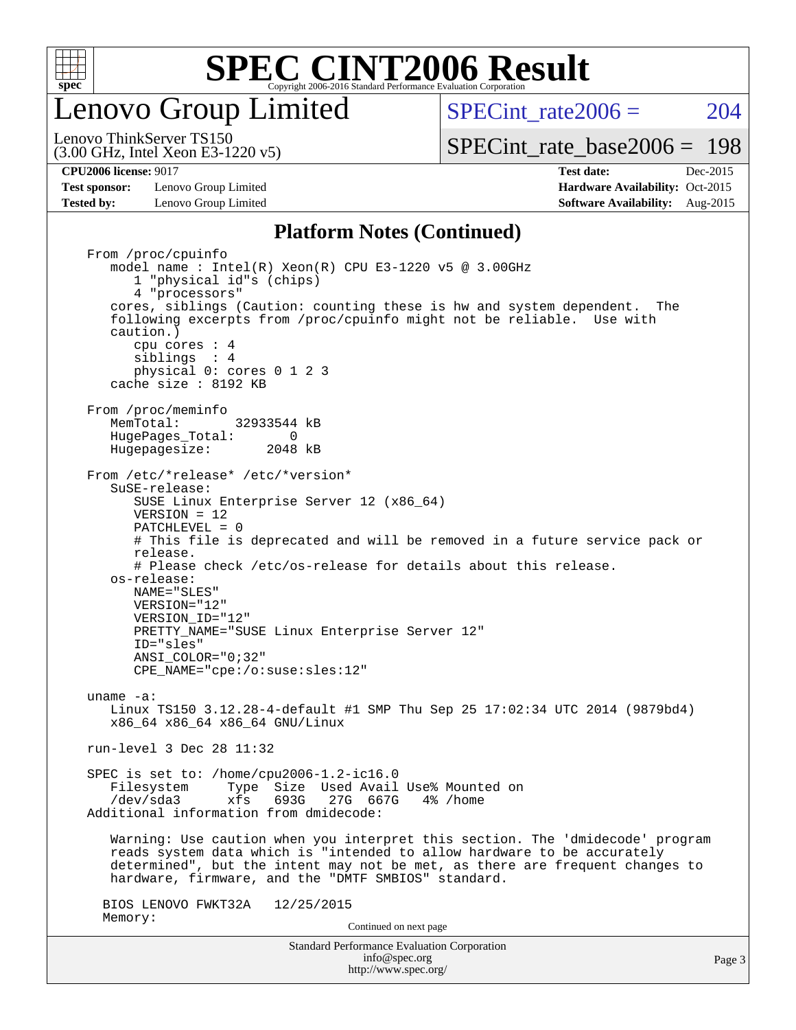

enovo Group Limited

SPECint rate $2006 = 204$ 

[SPECint\\_rate\\_base2006 =](http://www.spec.org/auto/cpu2006/Docs/result-fields.html#SPECintratebase2006) 198

(3.00 GHz, Intel Xeon E3-1220 v5) Lenovo ThinkServer TS150

**[Test sponsor:](http://www.spec.org/auto/cpu2006/Docs/result-fields.html#Testsponsor)** Lenovo Group Limited **[Hardware Availability:](http://www.spec.org/auto/cpu2006/Docs/result-fields.html#HardwareAvailability)** Oct-2015 **[Tested by:](http://www.spec.org/auto/cpu2006/Docs/result-fields.html#Testedby)** Lenovo Group Limited **[Software Availability:](http://www.spec.org/auto/cpu2006/Docs/result-fields.html#SoftwareAvailability)** Aug-2015

**[CPU2006 license:](http://www.spec.org/auto/cpu2006/Docs/result-fields.html#CPU2006license)** 9017 **[Test date:](http://www.spec.org/auto/cpu2006/Docs/result-fields.html#Testdate)** Dec-2015

#### **[Platform Notes \(Continued\)](http://www.spec.org/auto/cpu2006/Docs/result-fields.html#PlatformNotes)**

Standard Performance Evaluation Corporation [info@spec.org](mailto:info@spec.org) From /proc/cpuinfo model name:  $Intel(R)$  Xeon $(R)$  CPU E3-1220 v5 @ 3.00GHz 1 "physical id"s (chips) 4 "processors" cores, siblings (Caution: counting these is hw and system dependent. The following excerpts from /proc/cpuinfo might not be reliable. Use with caution.) cpu cores : 4 siblings : 4 physical 0: cores 0 1 2 3 cache size : 8192 KB From /proc/meminfo MemTotal: 32933544 kB HugePages\_Total: 0<br>Hugepagesize: 2048 kB Hugepagesize: From /etc/\*release\* /etc/\*version\* SuSE-release: SUSE Linux Enterprise Server 12 (x86\_64) VERSION = 12 PATCHLEVEL = 0 # This file is deprecated and will be removed in a future service pack or release. # Please check /etc/os-release for details about this release. os-release: NAME="SLES" VERSION="12" VERSION\_ID="12" PRETTY\_NAME="SUSE Linux Enterprise Server 12" ID="sles" ANSI\_COLOR="0;32" CPE\_NAME="cpe:/o:suse:sles:12" uname -a: Linux TS150 3.12.28-4-default #1 SMP Thu Sep 25 17:02:34 UTC 2014 (9879bd4) x86\_64 x86\_64 x86\_64 GNU/Linux run-level 3 Dec 28 11:32 SPEC is set to: /home/cpu2006-1.2-ic16.0 Filesystem Type Size Used Avail Use% Mounted on<br>
/dev/sda3 xfs 693G 27G 667G 4% /home xfs 693G 27G 667G 4% /home Additional information from dmidecode: Warning: Use caution when you interpret this section. The 'dmidecode' program reads system data which is "intended to allow hardware to be accurately determined", but the intent may not be met, as there are frequent changes to hardware, firmware, and the "DMTF SMBIOS" standard. BIOS LENOVO FWKT32A 12/25/2015 Memory: Continued on next page

<http://www.spec.org/>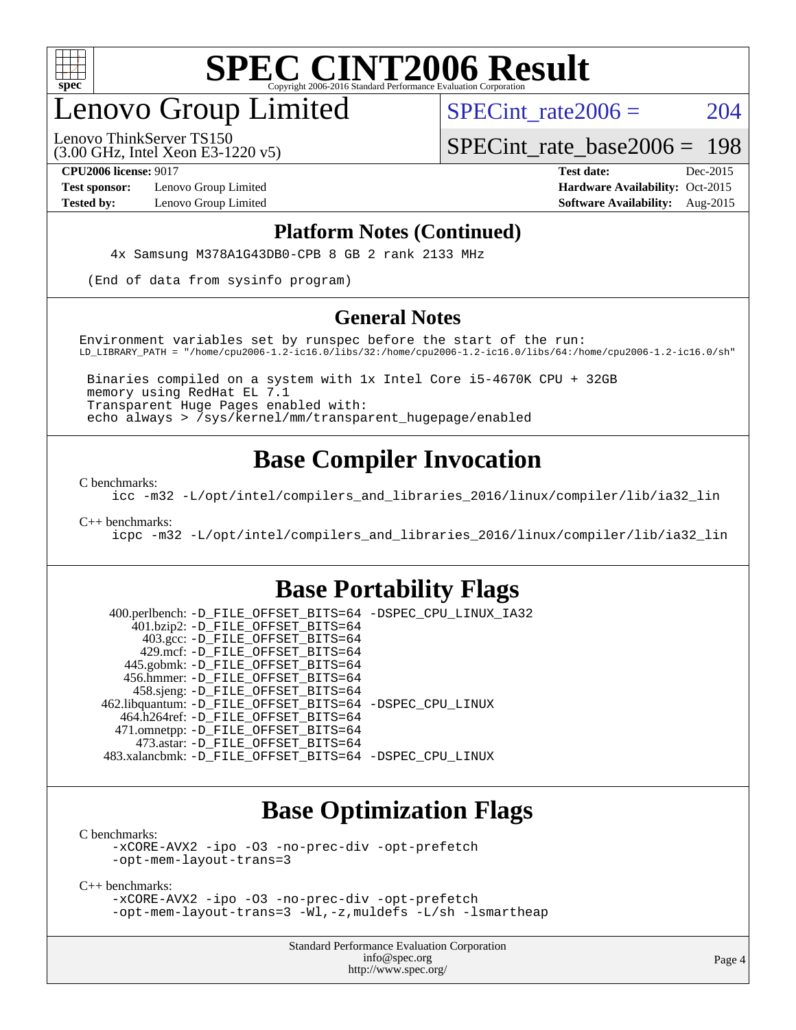

## enovo Group Limited

SPECint rate $2006 = 204$ 

(3.00 GHz, Intel Xeon E3-1220 v5) Lenovo ThinkServer TS150

[SPECint\\_rate\\_base2006 =](http://www.spec.org/auto/cpu2006/Docs/result-fields.html#SPECintratebase2006) 198

**[Test sponsor:](http://www.spec.org/auto/cpu2006/Docs/result-fields.html#Testsponsor)** Lenovo Group Limited **[Hardware Availability:](http://www.spec.org/auto/cpu2006/Docs/result-fields.html#HardwareAvailability)** Oct-2015

**[CPU2006 license:](http://www.spec.org/auto/cpu2006/Docs/result-fields.html#CPU2006license)** 9017 **[Test date:](http://www.spec.org/auto/cpu2006/Docs/result-fields.html#Testdate)** Dec-2015 **[Tested by:](http://www.spec.org/auto/cpu2006/Docs/result-fields.html#Testedby)** Lenovo Group Limited **[Software Availability:](http://www.spec.org/auto/cpu2006/Docs/result-fields.html#SoftwareAvailability)** Aug-2015

#### **[Platform Notes \(Continued\)](http://www.spec.org/auto/cpu2006/Docs/result-fields.html#PlatformNotes)**

4x Samsung M378A1G43DB0-CPB 8 GB 2 rank 2133 MHz

(End of data from sysinfo program)

#### **[General Notes](http://www.spec.org/auto/cpu2006/Docs/result-fields.html#GeneralNotes)**

Environment variables set by runspec before the start of the run: LD\_LIBRARY\_PATH = "/home/cpu2006-1.2-ic16.0/libs/32:/home/cpu2006-1.2-ic16.0/libs/64:/home/cpu2006-1.2-ic16.0/sh"

 Binaries compiled on a system with 1x Intel Core i5-4670K CPU + 32GB memory using RedHat EL 7.1 Transparent Huge Pages enabled with: echo always > /sys/kernel/mm/transparent\_hugepage/enabled

### **[Base Compiler Invocation](http://www.spec.org/auto/cpu2006/Docs/result-fields.html#BaseCompilerInvocation)**

[C benchmarks](http://www.spec.org/auto/cpu2006/Docs/result-fields.html#Cbenchmarks):

[icc -m32 -L/opt/intel/compilers\\_and\\_libraries\\_2016/linux/compiler/lib/ia32\\_lin](http://www.spec.org/cpu2006/results/res2016q1/cpu2006-20160125-38841.flags.html#user_CCbase_intel_icc_e10256ba5924b668798078a321b0cb3f)

[C++ benchmarks:](http://www.spec.org/auto/cpu2006/Docs/result-fields.html#CXXbenchmarks)

[icpc -m32 -L/opt/intel/compilers\\_and\\_libraries\\_2016/linux/compiler/lib/ia32\\_lin](http://www.spec.org/cpu2006/results/res2016q1/cpu2006-20160125-38841.flags.html#user_CXXbase_intel_icpc_b4f50a394bdb4597aa5879c16bc3f5c5)

### **[Base Portability Flags](http://www.spec.org/auto/cpu2006/Docs/result-fields.html#BasePortabilityFlags)**

 400.perlbench: [-D\\_FILE\\_OFFSET\\_BITS=64](http://www.spec.org/cpu2006/results/res2016q1/cpu2006-20160125-38841.flags.html#user_basePORTABILITY400_perlbench_file_offset_bits_64_438cf9856305ebd76870a2c6dc2689ab) [-DSPEC\\_CPU\\_LINUX\\_IA32](http://www.spec.org/cpu2006/results/res2016q1/cpu2006-20160125-38841.flags.html#b400.perlbench_baseCPORTABILITY_DSPEC_CPU_LINUX_IA32) 401.bzip2: [-D\\_FILE\\_OFFSET\\_BITS=64](http://www.spec.org/cpu2006/results/res2016q1/cpu2006-20160125-38841.flags.html#user_basePORTABILITY401_bzip2_file_offset_bits_64_438cf9856305ebd76870a2c6dc2689ab) 403.gcc: [-D\\_FILE\\_OFFSET\\_BITS=64](http://www.spec.org/cpu2006/results/res2016q1/cpu2006-20160125-38841.flags.html#user_basePORTABILITY403_gcc_file_offset_bits_64_438cf9856305ebd76870a2c6dc2689ab) 429.mcf: [-D\\_FILE\\_OFFSET\\_BITS=64](http://www.spec.org/cpu2006/results/res2016q1/cpu2006-20160125-38841.flags.html#user_basePORTABILITY429_mcf_file_offset_bits_64_438cf9856305ebd76870a2c6dc2689ab) 445.gobmk: [-D\\_FILE\\_OFFSET\\_BITS=64](http://www.spec.org/cpu2006/results/res2016q1/cpu2006-20160125-38841.flags.html#user_basePORTABILITY445_gobmk_file_offset_bits_64_438cf9856305ebd76870a2c6dc2689ab) 456.hmmer: [-D\\_FILE\\_OFFSET\\_BITS=64](http://www.spec.org/cpu2006/results/res2016q1/cpu2006-20160125-38841.flags.html#user_basePORTABILITY456_hmmer_file_offset_bits_64_438cf9856305ebd76870a2c6dc2689ab) 458.sjeng: [-D\\_FILE\\_OFFSET\\_BITS=64](http://www.spec.org/cpu2006/results/res2016q1/cpu2006-20160125-38841.flags.html#user_basePORTABILITY458_sjeng_file_offset_bits_64_438cf9856305ebd76870a2c6dc2689ab) 462.libquantum: [-D\\_FILE\\_OFFSET\\_BITS=64](http://www.spec.org/cpu2006/results/res2016q1/cpu2006-20160125-38841.flags.html#user_basePORTABILITY462_libquantum_file_offset_bits_64_438cf9856305ebd76870a2c6dc2689ab) [-DSPEC\\_CPU\\_LINUX](http://www.spec.org/cpu2006/results/res2016q1/cpu2006-20160125-38841.flags.html#b462.libquantum_baseCPORTABILITY_DSPEC_CPU_LINUX) 464.h264ref: [-D\\_FILE\\_OFFSET\\_BITS=64](http://www.spec.org/cpu2006/results/res2016q1/cpu2006-20160125-38841.flags.html#user_basePORTABILITY464_h264ref_file_offset_bits_64_438cf9856305ebd76870a2c6dc2689ab) 471.omnetpp: [-D\\_FILE\\_OFFSET\\_BITS=64](http://www.spec.org/cpu2006/results/res2016q1/cpu2006-20160125-38841.flags.html#user_basePORTABILITY471_omnetpp_file_offset_bits_64_438cf9856305ebd76870a2c6dc2689ab) 473.astar: [-D\\_FILE\\_OFFSET\\_BITS=64](http://www.spec.org/cpu2006/results/res2016q1/cpu2006-20160125-38841.flags.html#user_basePORTABILITY473_astar_file_offset_bits_64_438cf9856305ebd76870a2c6dc2689ab) 483.xalancbmk: [-D\\_FILE\\_OFFSET\\_BITS=64](http://www.spec.org/cpu2006/results/res2016q1/cpu2006-20160125-38841.flags.html#user_basePORTABILITY483_xalancbmk_file_offset_bits_64_438cf9856305ebd76870a2c6dc2689ab) [-DSPEC\\_CPU\\_LINUX](http://www.spec.org/cpu2006/results/res2016q1/cpu2006-20160125-38841.flags.html#b483.xalancbmk_baseCXXPORTABILITY_DSPEC_CPU_LINUX)

### **[Base Optimization Flags](http://www.spec.org/auto/cpu2006/Docs/result-fields.html#BaseOptimizationFlags)**

[C benchmarks](http://www.spec.org/auto/cpu2006/Docs/result-fields.html#Cbenchmarks):

[-xCORE-AVX2](http://www.spec.org/cpu2006/results/res2016q1/cpu2006-20160125-38841.flags.html#user_CCbase_f-xAVX2_5f5fc0cbe2c9f62c816d3e45806c70d7) [-ipo](http://www.spec.org/cpu2006/results/res2016q1/cpu2006-20160125-38841.flags.html#user_CCbase_f-ipo) [-O3](http://www.spec.org/cpu2006/results/res2016q1/cpu2006-20160125-38841.flags.html#user_CCbase_f-O3) [-no-prec-div](http://www.spec.org/cpu2006/results/res2016q1/cpu2006-20160125-38841.flags.html#user_CCbase_f-no-prec-div) [-opt-prefetch](http://www.spec.org/cpu2006/results/res2016q1/cpu2006-20160125-38841.flags.html#user_CCbase_f-opt-prefetch) [-opt-mem-layout-trans=3](http://www.spec.org/cpu2006/results/res2016q1/cpu2006-20160125-38841.flags.html#user_CCbase_f-opt-mem-layout-trans_a7b82ad4bd7abf52556d4961a2ae94d5)

[C++ benchmarks:](http://www.spec.org/auto/cpu2006/Docs/result-fields.html#CXXbenchmarks)

[-xCORE-AVX2](http://www.spec.org/cpu2006/results/res2016q1/cpu2006-20160125-38841.flags.html#user_CXXbase_f-xAVX2_5f5fc0cbe2c9f62c816d3e45806c70d7) [-ipo](http://www.spec.org/cpu2006/results/res2016q1/cpu2006-20160125-38841.flags.html#user_CXXbase_f-ipo) [-O3](http://www.spec.org/cpu2006/results/res2016q1/cpu2006-20160125-38841.flags.html#user_CXXbase_f-O3) [-no-prec-div](http://www.spec.org/cpu2006/results/res2016q1/cpu2006-20160125-38841.flags.html#user_CXXbase_f-no-prec-div) [-opt-prefetch](http://www.spec.org/cpu2006/results/res2016q1/cpu2006-20160125-38841.flags.html#user_CXXbase_f-opt-prefetch) [-opt-mem-layout-trans=3](http://www.spec.org/cpu2006/results/res2016q1/cpu2006-20160125-38841.flags.html#user_CXXbase_f-opt-mem-layout-trans_a7b82ad4bd7abf52556d4961a2ae94d5) [-Wl,-z,muldefs](http://www.spec.org/cpu2006/results/res2016q1/cpu2006-20160125-38841.flags.html#user_CXXbase_link_force_multiple1_74079c344b956b9658436fd1b6dd3a8a) [-L/sh -lsmartheap](http://www.spec.org/cpu2006/results/res2016q1/cpu2006-20160125-38841.flags.html#user_CXXbase_SmartHeap_32f6c82aa1ed9c52345d30cf6e4a0499)

> Standard Performance Evaluation Corporation [info@spec.org](mailto:info@spec.org) <http://www.spec.org/>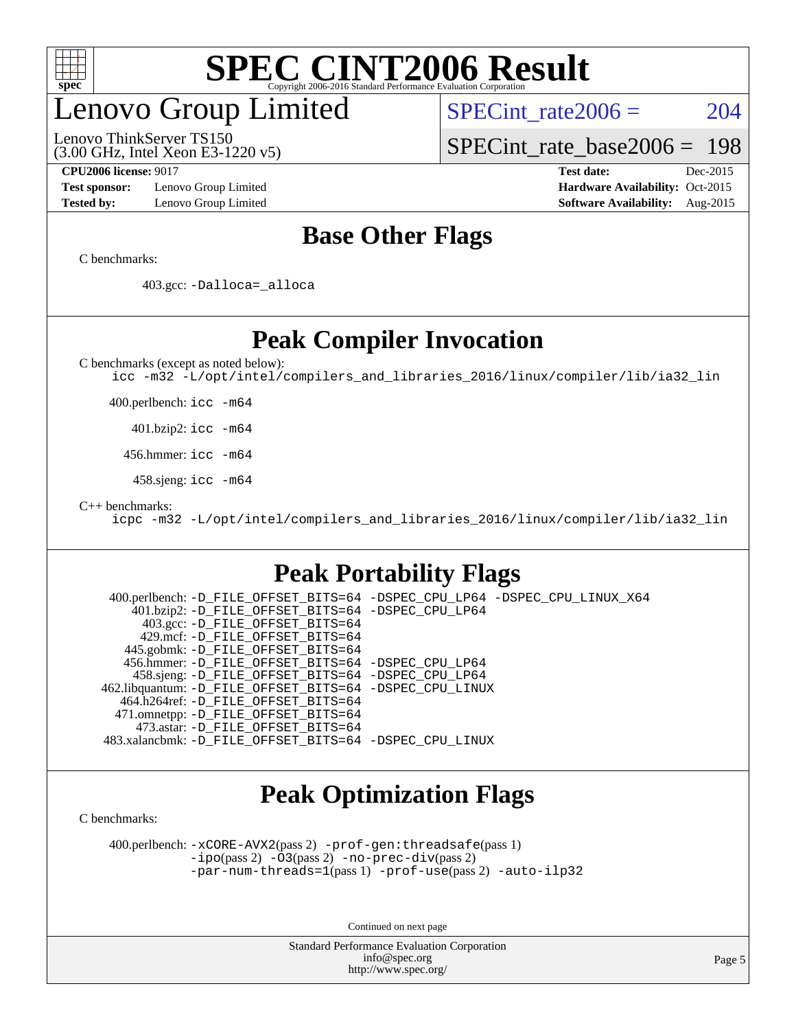

## enovo Group Limited

SPECint rate $2006 = 204$ 

(3.00 GHz, Intel Xeon E3-1220 v5) Lenovo ThinkServer TS150

[SPECint\\_rate\\_base2006 =](http://www.spec.org/auto/cpu2006/Docs/result-fields.html#SPECintratebase2006) 198

**[Test sponsor:](http://www.spec.org/auto/cpu2006/Docs/result-fields.html#Testsponsor)** Lenovo Group Limited **[Hardware Availability:](http://www.spec.org/auto/cpu2006/Docs/result-fields.html#HardwareAvailability)** Oct-2015

**[CPU2006 license:](http://www.spec.org/auto/cpu2006/Docs/result-fields.html#CPU2006license)** 9017 **[Test date:](http://www.spec.org/auto/cpu2006/Docs/result-fields.html#Testdate)** Dec-2015 **[Tested by:](http://www.spec.org/auto/cpu2006/Docs/result-fields.html#Testedby)** Lenovo Group Limited **[Software Availability:](http://www.spec.org/auto/cpu2006/Docs/result-fields.html#SoftwareAvailability)** Aug-2015

### **[Base Other Flags](http://www.spec.org/auto/cpu2006/Docs/result-fields.html#BaseOtherFlags)**

[C benchmarks](http://www.spec.org/auto/cpu2006/Docs/result-fields.html#Cbenchmarks):

403.gcc: [-Dalloca=\\_alloca](http://www.spec.org/cpu2006/results/res2016q1/cpu2006-20160125-38841.flags.html#b403.gcc_baseEXTRA_CFLAGS_Dalloca_be3056838c12de2578596ca5467af7f3)

### **[Peak Compiler Invocation](http://www.spec.org/auto/cpu2006/Docs/result-fields.html#PeakCompilerInvocation)**

[C benchmarks \(except as noted below\)](http://www.spec.org/auto/cpu2006/Docs/result-fields.html#Cbenchmarksexceptasnotedbelow):

[icc -m32 -L/opt/intel/compilers\\_and\\_libraries\\_2016/linux/compiler/lib/ia32\\_lin](http://www.spec.org/cpu2006/results/res2016q1/cpu2006-20160125-38841.flags.html#user_CCpeak_intel_icc_e10256ba5924b668798078a321b0cb3f)

400.perlbench: [icc -m64](http://www.spec.org/cpu2006/results/res2016q1/cpu2006-20160125-38841.flags.html#user_peakCCLD400_perlbench_intel_icc_64bit_bda6cc9af1fdbb0edc3795bac97ada53)

401.bzip2: [icc -m64](http://www.spec.org/cpu2006/results/res2016q1/cpu2006-20160125-38841.flags.html#user_peakCCLD401_bzip2_intel_icc_64bit_bda6cc9af1fdbb0edc3795bac97ada53)

456.hmmer: [icc -m64](http://www.spec.org/cpu2006/results/res2016q1/cpu2006-20160125-38841.flags.html#user_peakCCLD456_hmmer_intel_icc_64bit_bda6cc9af1fdbb0edc3795bac97ada53)

458.sjeng: [icc -m64](http://www.spec.org/cpu2006/results/res2016q1/cpu2006-20160125-38841.flags.html#user_peakCCLD458_sjeng_intel_icc_64bit_bda6cc9af1fdbb0edc3795bac97ada53)

[C++ benchmarks:](http://www.spec.org/auto/cpu2006/Docs/result-fields.html#CXXbenchmarks)

[icpc -m32 -L/opt/intel/compilers\\_and\\_libraries\\_2016/linux/compiler/lib/ia32\\_lin](http://www.spec.org/cpu2006/results/res2016q1/cpu2006-20160125-38841.flags.html#user_CXXpeak_intel_icpc_b4f50a394bdb4597aa5879c16bc3f5c5)

### **[Peak Portability Flags](http://www.spec.org/auto/cpu2006/Docs/result-fields.html#PeakPortabilityFlags)**

 400.perlbench: [-D\\_FILE\\_OFFSET\\_BITS=64](http://www.spec.org/cpu2006/results/res2016q1/cpu2006-20160125-38841.flags.html#user_peakPORTABILITY400_perlbench_file_offset_bits_64_438cf9856305ebd76870a2c6dc2689ab) [-DSPEC\\_CPU\\_LP64](http://www.spec.org/cpu2006/results/res2016q1/cpu2006-20160125-38841.flags.html#b400.perlbench_peakCPORTABILITY_DSPEC_CPU_LP64) [-DSPEC\\_CPU\\_LINUX\\_X64](http://www.spec.org/cpu2006/results/res2016q1/cpu2006-20160125-38841.flags.html#b400.perlbench_peakCPORTABILITY_DSPEC_CPU_LINUX_X64) 401.bzip2: [-D\\_FILE\\_OFFSET\\_BITS=64](http://www.spec.org/cpu2006/results/res2016q1/cpu2006-20160125-38841.flags.html#user_peakPORTABILITY401_bzip2_file_offset_bits_64_438cf9856305ebd76870a2c6dc2689ab) [-DSPEC\\_CPU\\_LP64](http://www.spec.org/cpu2006/results/res2016q1/cpu2006-20160125-38841.flags.html#suite_peakCPORTABILITY401_bzip2_DSPEC_CPU_LP64) 403.gcc: [-D\\_FILE\\_OFFSET\\_BITS=64](http://www.spec.org/cpu2006/results/res2016q1/cpu2006-20160125-38841.flags.html#user_peakPORTABILITY403_gcc_file_offset_bits_64_438cf9856305ebd76870a2c6dc2689ab) 429.mcf: [-D\\_FILE\\_OFFSET\\_BITS=64](http://www.spec.org/cpu2006/results/res2016q1/cpu2006-20160125-38841.flags.html#user_peakPORTABILITY429_mcf_file_offset_bits_64_438cf9856305ebd76870a2c6dc2689ab) 445.gobmk: [-D\\_FILE\\_OFFSET\\_BITS=64](http://www.spec.org/cpu2006/results/res2016q1/cpu2006-20160125-38841.flags.html#user_peakPORTABILITY445_gobmk_file_offset_bits_64_438cf9856305ebd76870a2c6dc2689ab) 456.hmmer: [-D\\_FILE\\_OFFSET\\_BITS=64](http://www.spec.org/cpu2006/results/res2016q1/cpu2006-20160125-38841.flags.html#user_peakPORTABILITY456_hmmer_file_offset_bits_64_438cf9856305ebd76870a2c6dc2689ab) [-DSPEC\\_CPU\\_LP64](http://www.spec.org/cpu2006/results/res2016q1/cpu2006-20160125-38841.flags.html#suite_peakCPORTABILITY456_hmmer_DSPEC_CPU_LP64) 458.sjeng: [-D\\_FILE\\_OFFSET\\_BITS=64](http://www.spec.org/cpu2006/results/res2016q1/cpu2006-20160125-38841.flags.html#user_peakPORTABILITY458_sjeng_file_offset_bits_64_438cf9856305ebd76870a2c6dc2689ab) [-DSPEC\\_CPU\\_LP64](http://www.spec.org/cpu2006/results/res2016q1/cpu2006-20160125-38841.flags.html#suite_peakCPORTABILITY458_sjeng_DSPEC_CPU_LP64) 462.libquantum: [-D\\_FILE\\_OFFSET\\_BITS=64](http://www.spec.org/cpu2006/results/res2016q1/cpu2006-20160125-38841.flags.html#user_peakPORTABILITY462_libquantum_file_offset_bits_64_438cf9856305ebd76870a2c6dc2689ab) [-DSPEC\\_CPU\\_LINUX](http://www.spec.org/cpu2006/results/res2016q1/cpu2006-20160125-38841.flags.html#b462.libquantum_peakCPORTABILITY_DSPEC_CPU_LINUX) 464.h264ref: [-D\\_FILE\\_OFFSET\\_BITS=64](http://www.spec.org/cpu2006/results/res2016q1/cpu2006-20160125-38841.flags.html#user_peakPORTABILITY464_h264ref_file_offset_bits_64_438cf9856305ebd76870a2c6dc2689ab) 471.omnetpp: [-D\\_FILE\\_OFFSET\\_BITS=64](http://www.spec.org/cpu2006/results/res2016q1/cpu2006-20160125-38841.flags.html#user_peakPORTABILITY471_omnetpp_file_offset_bits_64_438cf9856305ebd76870a2c6dc2689ab) 473.astar: [-D\\_FILE\\_OFFSET\\_BITS=64](http://www.spec.org/cpu2006/results/res2016q1/cpu2006-20160125-38841.flags.html#user_peakPORTABILITY473_astar_file_offset_bits_64_438cf9856305ebd76870a2c6dc2689ab) 483.xalancbmk: [-D\\_FILE\\_OFFSET\\_BITS=64](http://www.spec.org/cpu2006/results/res2016q1/cpu2006-20160125-38841.flags.html#user_peakPORTABILITY483_xalancbmk_file_offset_bits_64_438cf9856305ebd76870a2c6dc2689ab) [-DSPEC\\_CPU\\_LINUX](http://www.spec.org/cpu2006/results/res2016q1/cpu2006-20160125-38841.flags.html#b483.xalancbmk_peakCXXPORTABILITY_DSPEC_CPU_LINUX)

### **[Peak Optimization Flags](http://www.spec.org/auto/cpu2006/Docs/result-fields.html#PeakOptimizationFlags)**

[C benchmarks](http://www.spec.org/auto/cpu2006/Docs/result-fields.html#Cbenchmarks):

 400.perlbench: [-xCORE-AVX2](http://www.spec.org/cpu2006/results/res2016q1/cpu2006-20160125-38841.flags.html#user_peakPASS2_CFLAGSPASS2_LDCFLAGS400_perlbench_f-xAVX2_5f5fc0cbe2c9f62c816d3e45806c70d7)(pass 2) [-prof-gen:threadsafe](http://www.spec.org/cpu2006/results/res2016q1/cpu2006-20160125-38841.flags.html#user_peakPASS1_CFLAGSPASS1_LDCFLAGS400_perlbench_prof_gen_21a26eb79f378b550acd7bec9fe4467a)(pass 1) [-ipo](http://www.spec.org/cpu2006/results/res2016q1/cpu2006-20160125-38841.flags.html#user_peakPASS2_CFLAGSPASS2_LDCFLAGS400_perlbench_f-ipo)(pass 2) [-O3](http://www.spec.org/cpu2006/results/res2016q1/cpu2006-20160125-38841.flags.html#user_peakPASS2_CFLAGSPASS2_LDCFLAGS400_perlbench_f-O3)(pass 2) [-no-prec-div](http://www.spec.org/cpu2006/results/res2016q1/cpu2006-20160125-38841.flags.html#user_peakPASS2_CFLAGSPASS2_LDCFLAGS400_perlbench_f-no-prec-div)(pass 2) [-par-num-threads=1](http://www.spec.org/cpu2006/results/res2016q1/cpu2006-20160125-38841.flags.html#user_peakPASS1_CFLAGSPASS1_LDCFLAGS400_perlbench_par_num_threads_786a6ff141b4e9e90432e998842df6c2)(pass 1) [-prof-use](http://www.spec.org/cpu2006/results/res2016q1/cpu2006-20160125-38841.flags.html#user_peakPASS2_CFLAGSPASS2_LDCFLAGS400_perlbench_prof_use_bccf7792157ff70d64e32fe3e1250b55)(pass 2) [-auto-ilp32](http://www.spec.org/cpu2006/results/res2016q1/cpu2006-20160125-38841.flags.html#user_peakCOPTIMIZE400_perlbench_f-auto-ilp32)

Continued on next page

Standard Performance Evaluation Corporation [info@spec.org](mailto:info@spec.org) <http://www.spec.org/>

Page 5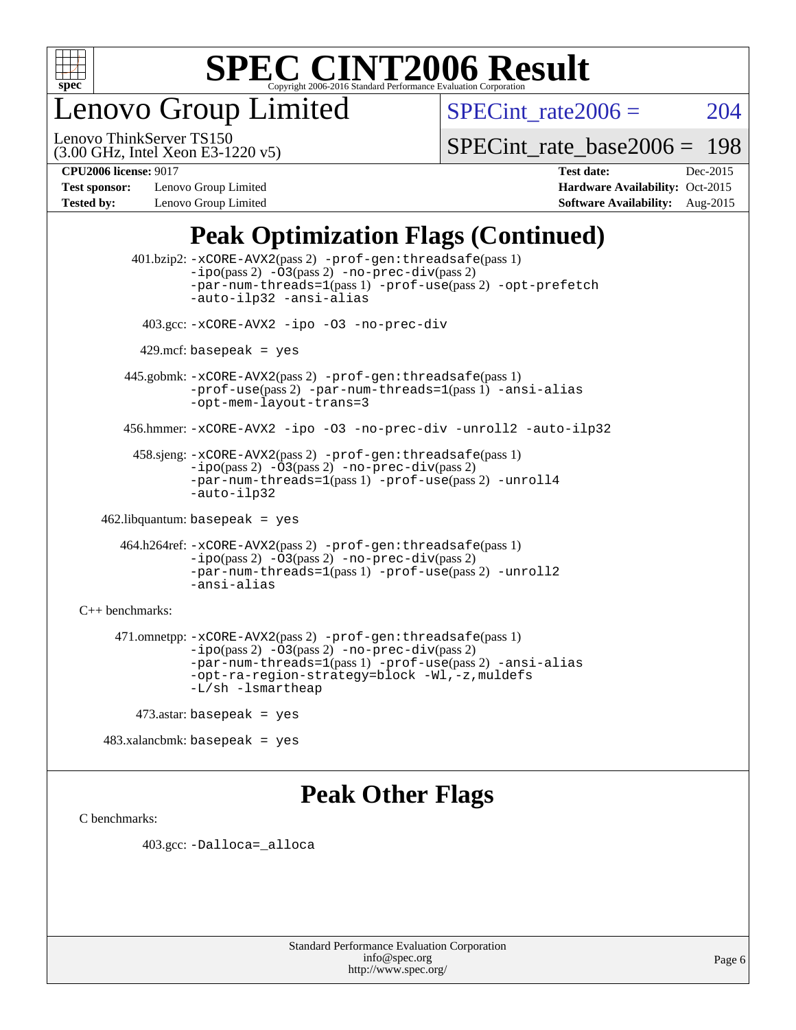

enovo Group Limited

SPECint rate $2006 = 204$ 

(3.00 GHz, Intel Xeon E3-1220 v5) Lenovo ThinkServer TS150

[SPECint\\_rate\\_base2006 =](http://www.spec.org/auto/cpu2006/Docs/result-fields.html#SPECintratebase2006) 198

**[Test sponsor:](http://www.spec.org/auto/cpu2006/Docs/result-fields.html#Testsponsor)** Lenovo Group Limited **[Hardware Availability:](http://www.spec.org/auto/cpu2006/Docs/result-fields.html#HardwareAvailability)** Oct-2015

**[CPU2006 license:](http://www.spec.org/auto/cpu2006/Docs/result-fields.html#CPU2006license)** 9017 **[Test date:](http://www.spec.org/auto/cpu2006/Docs/result-fields.html#Testdate)** Dec-2015 **[Tested by:](http://www.spec.org/auto/cpu2006/Docs/result-fields.html#Testedby)** Lenovo Group Limited **[Software Availability:](http://www.spec.org/auto/cpu2006/Docs/result-fields.html#SoftwareAvailability)** Aug-2015

## **[Peak Optimization Flags \(Continued\)](http://www.spec.org/auto/cpu2006/Docs/result-fields.html#PeakOptimizationFlags)**

 401.bzip2: [-xCORE-AVX2](http://www.spec.org/cpu2006/results/res2016q1/cpu2006-20160125-38841.flags.html#user_peakPASS2_CFLAGSPASS2_LDCFLAGS401_bzip2_f-xAVX2_5f5fc0cbe2c9f62c816d3e45806c70d7)(pass 2) [-prof-gen:threadsafe](http://www.spec.org/cpu2006/results/res2016q1/cpu2006-20160125-38841.flags.html#user_peakPASS1_CFLAGSPASS1_LDCFLAGS401_bzip2_prof_gen_21a26eb79f378b550acd7bec9fe4467a)(pass 1)  $-i\text{po}(pass 2) -03(pass 2) -no-prec-div(pass 2)$  $-i\text{po}(pass 2) -03(pass 2) -no-prec-div(pass 2)$  $-i\text{po}(pass 2) -03(pass 2) -no-prec-div(pass 2)$ [-par-num-threads=1](http://www.spec.org/cpu2006/results/res2016q1/cpu2006-20160125-38841.flags.html#user_peakPASS1_CFLAGSPASS1_LDCFLAGS401_bzip2_par_num_threads_786a6ff141b4e9e90432e998842df6c2)(pass 1) [-prof-use](http://www.spec.org/cpu2006/results/res2016q1/cpu2006-20160125-38841.flags.html#user_peakPASS2_CFLAGSPASS2_LDCFLAGS401_bzip2_prof_use_bccf7792157ff70d64e32fe3e1250b55)(pass 2) [-opt-prefetch](http://www.spec.org/cpu2006/results/res2016q1/cpu2006-20160125-38841.flags.html#user_peakCOPTIMIZE401_bzip2_f-opt-prefetch) [-auto-ilp32](http://www.spec.org/cpu2006/results/res2016q1/cpu2006-20160125-38841.flags.html#user_peakCOPTIMIZE401_bzip2_f-auto-ilp32) [-ansi-alias](http://www.spec.org/cpu2006/results/res2016q1/cpu2006-20160125-38841.flags.html#user_peakCOPTIMIZE401_bzip2_f-ansi-alias) 403.gcc: [-xCORE-AVX2](http://www.spec.org/cpu2006/results/res2016q1/cpu2006-20160125-38841.flags.html#user_peakCOPTIMIZE403_gcc_f-xAVX2_5f5fc0cbe2c9f62c816d3e45806c70d7) [-ipo](http://www.spec.org/cpu2006/results/res2016q1/cpu2006-20160125-38841.flags.html#user_peakCOPTIMIZE403_gcc_f-ipo) [-O3](http://www.spec.org/cpu2006/results/res2016q1/cpu2006-20160125-38841.flags.html#user_peakCOPTIMIZE403_gcc_f-O3) [-no-prec-div](http://www.spec.org/cpu2006/results/res2016q1/cpu2006-20160125-38841.flags.html#user_peakCOPTIMIZE403_gcc_f-no-prec-div)  $429$ .mcf: basepeak = yes 445.gobmk: [-xCORE-AVX2](http://www.spec.org/cpu2006/results/res2016q1/cpu2006-20160125-38841.flags.html#user_peakPASS2_CFLAGSPASS2_LDCFLAGS445_gobmk_f-xAVX2_5f5fc0cbe2c9f62c816d3e45806c70d7)(pass 2) [-prof-gen:threadsafe](http://www.spec.org/cpu2006/results/res2016q1/cpu2006-20160125-38841.flags.html#user_peakPASS1_CFLAGSPASS1_LDCFLAGS445_gobmk_prof_gen_21a26eb79f378b550acd7bec9fe4467a)(pass 1) [-prof-use](http://www.spec.org/cpu2006/results/res2016q1/cpu2006-20160125-38841.flags.html#user_peakPASS2_CFLAGSPASS2_LDCFLAGS445_gobmk_prof_use_bccf7792157ff70d64e32fe3e1250b55)(pass 2) [-par-num-threads=1](http://www.spec.org/cpu2006/results/res2016q1/cpu2006-20160125-38841.flags.html#user_peakPASS1_CFLAGSPASS1_LDCFLAGS445_gobmk_par_num_threads_786a6ff141b4e9e90432e998842df6c2)(pass 1) [-ansi-alias](http://www.spec.org/cpu2006/results/res2016q1/cpu2006-20160125-38841.flags.html#user_peakCOPTIMIZE445_gobmk_f-ansi-alias) [-opt-mem-layout-trans=3](http://www.spec.org/cpu2006/results/res2016q1/cpu2006-20160125-38841.flags.html#user_peakCOPTIMIZE445_gobmk_f-opt-mem-layout-trans_a7b82ad4bd7abf52556d4961a2ae94d5) 456.hmmer: [-xCORE-AVX2](http://www.spec.org/cpu2006/results/res2016q1/cpu2006-20160125-38841.flags.html#user_peakCOPTIMIZE456_hmmer_f-xAVX2_5f5fc0cbe2c9f62c816d3e45806c70d7) [-ipo](http://www.spec.org/cpu2006/results/res2016q1/cpu2006-20160125-38841.flags.html#user_peakCOPTIMIZE456_hmmer_f-ipo) [-O3](http://www.spec.org/cpu2006/results/res2016q1/cpu2006-20160125-38841.flags.html#user_peakCOPTIMIZE456_hmmer_f-O3) [-no-prec-div](http://www.spec.org/cpu2006/results/res2016q1/cpu2006-20160125-38841.flags.html#user_peakCOPTIMIZE456_hmmer_f-no-prec-div) [-unroll2](http://www.spec.org/cpu2006/results/res2016q1/cpu2006-20160125-38841.flags.html#user_peakCOPTIMIZE456_hmmer_f-unroll_784dae83bebfb236979b41d2422d7ec2) [-auto-ilp32](http://www.spec.org/cpu2006/results/res2016q1/cpu2006-20160125-38841.flags.html#user_peakCOPTIMIZE456_hmmer_f-auto-ilp32) 458.sjeng: [-xCORE-AVX2](http://www.spec.org/cpu2006/results/res2016q1/cpu2006-20160125-38841.flags.html#user_peakPASS2_CFLAGSPASS2_LDCFLAGS458_sjeng_f-xAVX2_5f5fc0cbe2c9f62c816d3e45806c70d7)(pass 2) [-prof-gen:threadsafe](http://www.spec.org/cpu2006/results/res2016q1/cpu2006-20160125-38841.flags.html#user_peakPASS1_CFLAGSPASS1_LDCFLAGS458_sjeng_prof_gen_21a26eb79f378b550acd7bec9fe4467a)(pass 1) [-ipo](http://www.spec.org/cpu2006/results/res2016q1/cpu2006-20160125-38841.flags.html#user_peakPASS2_CFLAGSPASS2_LDCFLAGS458_sjeng_f-ipo)(pass 2) [-O3](http://www.spec.org/cpu2006/results/res2016q1/cpu2006-20160125-38841.flags.html#user_peakPASS2_CFLAGSPASS2_LDCFLAGS458_sjeng_f-O3)(pass 2) [-no-prec-div](http://www.spec.org/cpu2006/results/res2016q1/cpu2006-20160125-38841.flags.html#user_peakPASS2_CFLAGSPASS2_LDCFLAGS458_sjeng_f-no-prec-div)(pass 2) [-par-num-threads=1](http://www.spec.org/cpu2006/results/res2016q1/cpu2006-20160125-38841.flags.html#user_peakPASS1_CFLAGSPASS1_LDCFLAGS458_sjeng_par_num_threads_786a6ff141b4e9e90432e998842df6c2)(pass 1) [-prof-use](http://www.spec.org/cpu2006/results/res2016q1/cpu2006-20160125-38841.flags.html#user_peakPASS2_CFLAGSPASS2_LDCFLAGS458_sjeng_prof_use_bccf7792157ff70d64e32fe3e1250b55)(pass 2) [-unroll4](http://www.spec.org/cpu2006/results/res2016q1/cpu2006-20160125-38841.flags.html#user_peakCOPTIMIZE458_sjeng_f-unroll_4e5e4ed65b7fd20bdcd365bec371b81f) [-auto-ilp32](http://www.spec.org/cpu2006/results/res2016q1/cpu2006-20160125-38841.flags.html#user_peakCOPTIMIZE458_sjeng_f-auto-ilp32) 462.libquantum: basepeak = yes 464.h264ref: [-xCORE-AVX2](http://www.spec.org/cpu2006/results/res2016q1/cpu2006-20160125-38841.flags.html#user_peakPASS2_CFLAGSPASS2_LDCFLAGS464_h264ref_f-xAVX2_5f5fc0cbe2c9f62c816d3e45806c70d7)(pass 2) [-prof-gen:threadsafe](http://www.spec.org/cpu2006/results/res2016q1/cpu2006-20160125-38841.flags.html#user_peakPASS1_CFLAGSPASS1_LDCFLAGS464_h264ref_prof_gen_21a26eb79f378b550acd7bec9fe4467a)(pass 1) [-ipo](http://www.spec.org/cpu2006/results/res2016q1/cpu2006-20160125-38841.flags.html#user_peakPASS2_CFLAGSPASS2_LDCFLAGS464_h264ref_f-ipo)(pass 2) [-O3](http://www.spec.org/cpu2006/results/res2016q1/cpu2006-20160125-38841.flags.html#user_peakPASS2_CFLAGSPASS2_LDCFLAGS464_h264ref_f-O3)(pass 2) [-no-prec-div](http://www.spec.org/cpu2006/results/res2016q1/cpu2006-20160125-38841.flags.html#user_peakPASS2_CFLAGSPASS2_LDCFLAGS464_h264ref_f-no-prec-div)(pass 2) [-par-num-threads=1](http://www.spec.org/cpu2006/results/res2016q1/cpu2006-20160125-38841.flags.html#user_peakPASS1_CFLAGSPASS1_LDCFLAGS464_h264ref_par_num_threads_786a6ff141b4e9e90432e998842df6c2)(pass 1) [-prof-use](http://www.spec.org/cpu2006/results/res2016q1/cpu2006-20160125-38841.flags.html#user_peakPASS2_CFLAGSPASS2_LDCFLAGS464_h264ref_prof_use_bccf7792157ff70d64e32fe3e1250b55)(pass 2) [-unroll2](http://www.spec.org/cpu2006/results/res2016q1/cpu2006-20160125-38841.flags.html#user_peakCOPTIMIZE464_h264ref_f-unroll_784dae83bebfb236979b41d2422d7ec2) [-ansi-alias](http://www.spec.org/cpu2006/results/res2016q1/cpu2006-20160125-38841.flags.html#user_peakCOPTIMIZE464_h264ref_f-ansi-alias) [C++ benchmarks:](http://www.spec.org/auto/cpu2006/Docs/result-fields.html#CXXbenchmarks) 471.omnetpp: [-xCORE-AVX2](http://www.spec.org/cpu2006/results/res2016q1/cpu2006-20160125-38841.flags.html#user_peakPASS2_CXXFLAGSPASS2_LDCXXFLAGS471_omnetpp_f-xAVX2_5f5fc0cbe2c9f62c816d3e45806c70d7)(pass 2) [-prof-gen:threadsafe](http://www.spec.org/cpu2006/results/res2016q1/cpu2006-20160125-38841.flags.html#user_peakPASS1_CXXFLAGSPASS1_LDCXXFLAGS471_omnetpp_prof_gen_21a26eb79f378b550acd7bec9fe4467a)(pass 1)  $-ipo(pass 2) -\overline{03(pass 2)}$  $-ipo(pass 2) -\overline{03(pass 2)}$  [-no-prec-div](http://www.spec.org/cpu2006/results/res2016q1/cpu2006-20160125-38841.flags.html#user_peakPASS2_CXXFLAGSPASS2_LDCXXFLAGS471_omnetpp_f-no-prec-div)(pass 2) [-par-num-threads=1](http://www.spec.org/cpu2006/results/res2016q1/cpu2006-20160125-38841.flags.html#user_peakPASS1_CXXFLAGSPASS1_LDCXXFLAGS471_omnetpp_par_num_threads_786a6ff141b4e9e90432e998842df6c2)(pass 1) [-prof-use](http://www.spec.org/cpu2006/results/res2016q1/cpu2006-20160125-38841.flags.html#user_peakPASS2_CXXFLAGSPASS2_LDCXXFLAGS471_omnetpp_prof_use_bccf7792157ff70d64e32fe3e1250b55)(pass 2) [-ansi-alias](http://www.spec.org/cpu2006/results/res2016q1/cpu2006-20160125-38841.flags.html#user_peakCXXOPTIMIZE471_omnetpp_f-ansi-alias) [-opt-ra-region-strategy=block](http://www.spec.org/cpu2006/results/res2016q1/cpu2006-20160125-38841.flags.html#user_peakCXXOPTIMIZE471_omnetpp_f-opt-ra-region-strategy_a0a37c372d03933b2a18d4af463c1f69) [-Wl,-z,muldefs](http://www.spec.org/cpu2006/results/res2016q1/cpu2006-20160125-38841.flags.html#user_peakEXTRA_LDFLAGS471_omnetpp_link_force_multiple1_74079c344b956b9658436fd1b6dd3a8a) [-L/sh -lsmartheap](http://www.spec.org/cpu2006/results/res2016q1/cpu2006-20160125-38841.flags.html#user_peakEXTRA_LIBS471_omnetpp_SmartHeap_32f6c82aa1ed9c52345d30cf6e4a0499) 473.astar: basepeak = yes

483.xalancbmk: basepeak = yes

### **[Peak Other Flags](http://www.spec.org/auto/cpu2006/Docs/result-fields.html#PeakOtherFlags)**

[C benchmarks](http://www.spec.org/auto/cpu2006/Docs/result-fields.html#Cbenchmarks):

403.gcc: [-Dalloca=\\_alloca](http://www.spec.org/cpu2006/results/res2016q1/cpu2006-20160125-38841.flags.html#b403.gcc_peakEXTRA_CFLAGS_Dalloca_be3056838c12de2578596ca5467af7f3)